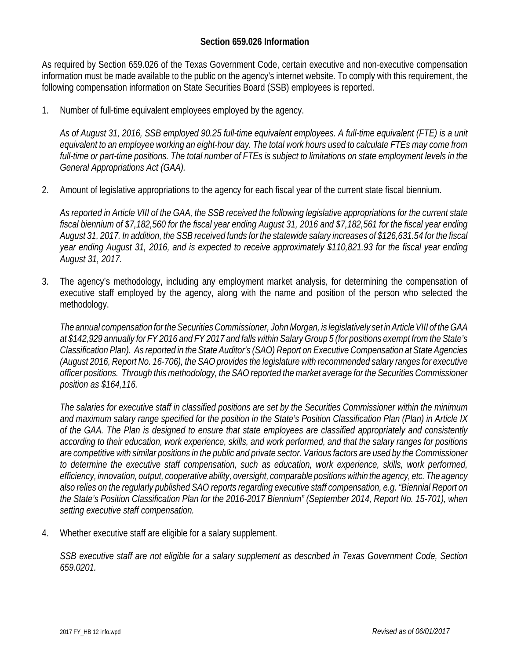## **Section 659.026 Information**

As required by Section 659.026 of the Texas Government Code, certain executive and non-executive compensation information must be made available to the public on the agency's internet website. To comply with this requirement, the following compensation information on State Securities Board (SSB) employees is reported.

1. Number of full-time equivalent employees employed by the agency.

*As of August 31, 2016, SSB employed 90.25 full-time equivalent employees. A full-time equivalent (FTE) is a unit equivalent to an employee working an eight-hour day. The total work hours used to calculate FTEs may come from full-time or part-time positions. The total number of FTEs is subject to limitations on state employment levels in the General Appropriations Act (GAA).*

2. Amount of legislative appropriations to the agency for each fiscal year of the current state fiscal biennium.

*As reported in Article VIII of the GAA, the SSB received the following legislative appropriations for the current state fiscal biennium of \$7,182,560 for the fiscal year ending August 31, 2016 and \$7,182,561 for the fiscal year ending August 31, 2017. In addition, the SSB received funds for the statewide salary increases of \$126,631.54 for the fiscal year ending August 31, 2016, and is expected to receive approximately \$110,821.93 for the fiscal year ending August 31, 2017.*

3. The agency's methodology, including any employment market analysis, for determining the compensation of executive staff employed by the agency, along with the name and position of the person who selected the methodology.

*The annual compensation for the Securities Commissioner, John Morgan, is legislatively set in Article VIII of the GAA at \$142,929 annually for FY 2016 and FY 2017 and falls within Salary Group 5 (for positions exempt from the State's Classification Plan). As reported in the State Auditor's (SAO) Report on Executive Compensation at State Agencies (August 2016, Report No. 16-706), the SAO provides the legislature with recommended salary ranges for executive officer positions. Through this methodology, the SAO reported the market average for the Securities Commissioner position as \$164,116.*

*The salaries for executive staff in classified positions are set by the Securities Commissioner within the minimum and maximum salary range specified for the position in the State's Position Classification Plan (Plan) in Article IX of the GAA. The Plan is designed to ensure that state employees are classified appropriately and consistently according to their education, work experience, skills, and work performed, and that the salary ranges for positions are competitive with similar positions in the public and private sector. Various factors are used by the Commissioner to determine the executive staff compensation, such as education, work experience, skills, work performed, efficiency, innovation, output, cooperative ability, oversight, comparable positions within the agency, etc. The agency also relies on the regularly published SAO reports regarding executive staff compensation, e.g. "Biennial Report on the State's Position Classification Plan for the 2016-2017 Biennium" (September 2014, Report No. 15-701), when setting executive staff compensation.*

4. Whether executive staff are eligible for a salary supplement.

*SSB executive staff are not eligible for a salary supplement as described in Texas Government Code, Section 659.0201.*